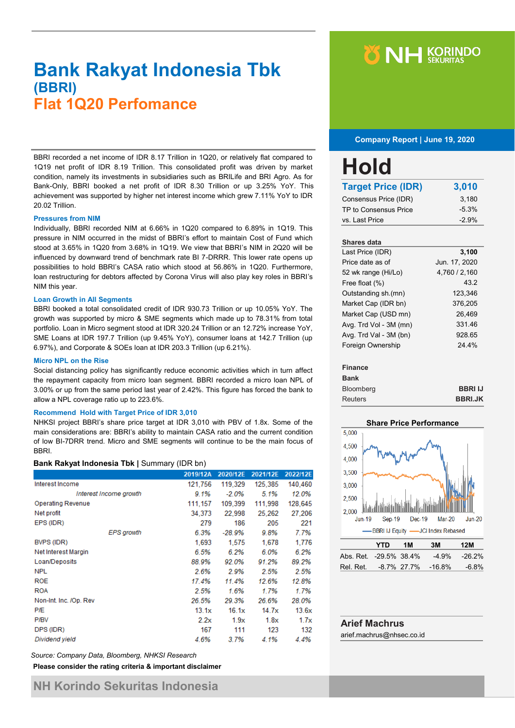## **Bank Rakyat Indonesia Tbk (BBRI) Flat 1Q20 Perfomance**

BBRI recorded a net income of IDR 8.17 Trillion in 1Q20, or relatively flat compared to 1Q19 net profit of IDR 8.19 Trillion. This consolidated profit was driven by market condition, namely its investments in subsidiaries such as BRILife and BRI Agro. As for Bank-Only, BBRI booked a net profit of IDR 8.30 Trillion or up 3.25% YoY. This achievement was supported by higher net interest income which grew 7.11% YoY to IDR 20.02 Trillion.

#### **Pressures from NIM**

Individually, BBRI recorded NIM at 6.66% in 1Q20 compared to 6.89% in 1Q19. This pressure in NIM occurred in the midst of BBRI's effort to maintain Cost of Fund which stood at 3.65% in 1Q20 from 3.68% in 1Q19. We view that BBRI's NIM in 2Q20 will be influenced by downward trend of benchmark rate BI 7-DRRR. This lower rate opens up possibilities to hold BBRI's CASA ratio which stood at 56.86% in 1Q20. Furthermore, loan restructuring for debtors affected by Corona Virus will also play key roles in BBRI's NIM this year.

#### **Loan Growth in All Segments**

BBRI booked a total consolidated credit of IDR 930.73 Trillion or up 10.05% YoY. The growth was supported by micro & SME segments which made up to 78.31% from total portfolio. Loan in Micro segment stood at IDR 320.24 Trillion or an 12.72% increase YoY, SME Loans at IDR 197.7 Trillion (up 9.45% YoY), consumer loans at 142.7 Trillion (up 6.97%), and Corporate & SOEs loan at IDR 203.3 Trillion (up 6.21%).

#### **Micro NPL on the Rise**

Social distancing policy has significantly reduce economic activities which in turn affect the repayment capacity from micro loan segment. BBRI recorded a micro loan NPL of 3.00% or up from the same period last year of 2.42%. This figure has forced the bank to allow a NPL coverage ratio up to 223.6%.

#### **Recommend Hold with Target Price of IDR 3,010**

NHKSI project BBRI's share price target at IDR 3,010 with PBV of 1.8x. Some of the main considerations are: BBRI's ability to maintain CASA ratio and the current condition of low BI-7DRR trend. Micro and SME segments will continue to be the main focus of BBRI.

#### **Bank Rakyat Indonesia Tbk |** Summary (IDR bn)

|                          | 2019/12A | 2020/12E | 2021/12E | 2022/12E |
|--------------------------|----------|----------|----------|----------|
| Interest Income          | 121,756  | 119,329  | 125,385  | 140,460  |
| Interest Income growth   | $9.1\%$  | $-2.0\%$ | 5.1%     | 12.0%    |
| <b>Operating Revenue</b> | 111, 157 | 109,399  | 111,998  | 128,645  |
| Net profit               | 34,373   | 22,998   | 25.262   | 27.206   |
| EPS (IDR)                | 279      | 186      | 205      | 221      |
| <b>EPS</b> growth        | 6.3%     | -28.9%   | 9.8%     | 7.7%     |
| BVPS (IDR)               | 1.693    | 1.575    | 1,678    | 1,776    |
| Net Interest Margin      | 6.5%     | 6.2%     | 6.0%     | 6.2%     |
| Loan/Deposits            | 88.9%    | 92.0%    | 91.2%    | 89.2%    |
| <b>NPL</b>               | 2.6%     | 2.9%     | 2.5%     | 2.5%     |
| <b>ROE</b>               | 17.4%    | 11.4%    | 12.6%    | 12.8%    |
| <b>ROA</b>               | 2.5%     | 1.6%     | 1.7%     | 1.7%     |
| Non-Int. Inc. /Op. Rev   | 26.5%    | 29.3%    | 26.6%    | 28.0%    |
| <b>P/E</b>               | 13.1x    | 16.1x    | 14.7x    | 13.6x    |
| P/BV                     | 2.2x     | 1.9x     | 1.8x     | 1.7x     |
| DPS (IDR)                | 167      | 111      | 123      | 132      |
| Dividend yield           | 4.6%     | 3.7%     | 4.1%     | 4.4%     |

*Source: Company Data, Bloomberg, NHKSI Research*

**Please consider the rating criteria & important disclaimer**

# **Y NH KORINDO**

 **Company Report | June 19, 2020**

| Hold                      |         |
|---------------------------|---------|
| <b>Target Price (IDR)</b> | 3,010   |
| Consensus Price (IDR)     | 3,180   |
| TP to Consensus Price     | $-5.3%$ |
| vs. Last Price            | $-2.9%$ |

### **Shares data** Last Price (IDR) **3,100** Price date as of Jun. 17, 2020 52 wk range (Hi/Lo) 4,760 / 2,160 Free float (%) 43.2 Outstanding sh.(mn) 123,346 Market Cap (IDR bn) 376,205 Market Cap (USD mn) 26,469 Avg. Trd Vol - 3M (mn) 331.46 Avg. Trd Val - 3M (bn) 928.65 Foreign Ownership 24.4%

#### **Finance**

| <b>Bank</b>    |                |
|----------------|----------------|
| Bloomberg      | <b>BBRIIJ</b>  |
| <b>Reuters</b> | <b>BBRI.JK</b> |



|                              | YTD | 1M | 3M | 12M              |
|------------------------------|-----|----|----|------------------|
| Abs. Ret. -29.5% 38.4%       |     |    |    | $-4.9\% -26.2\%$ |
| Rel. Ret. 48.7% 27.7% -16.8% |     |    |    | $-6.8\%$         |

## **Arief Machrus** arief.machrus@nhsec.co.id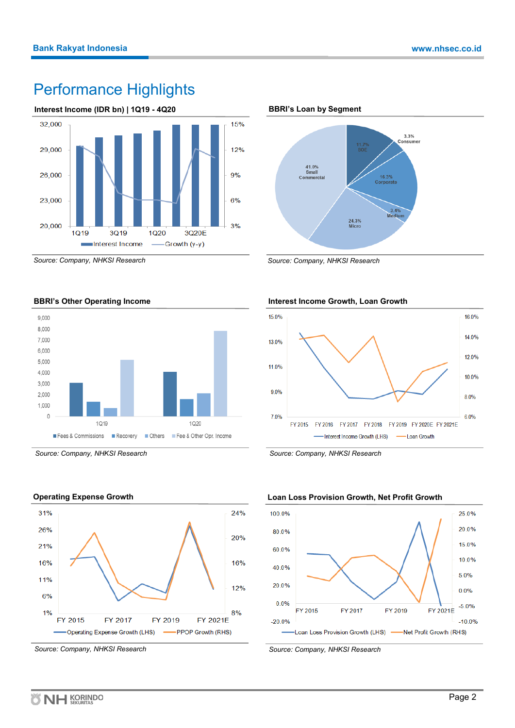## Performance Highlights



*Source: Company, NHKSI Research*





*Source: Company, NHKSI Research*



*Source: Company, NHKSI Research*

**BBRI's Loan by Segment**



*Source: Company, NHKSI Research*

## **Interest Income Growth, Loan Growth**



*Source: Company, NHKSI Research*



*Source: Company, NHKSI Research*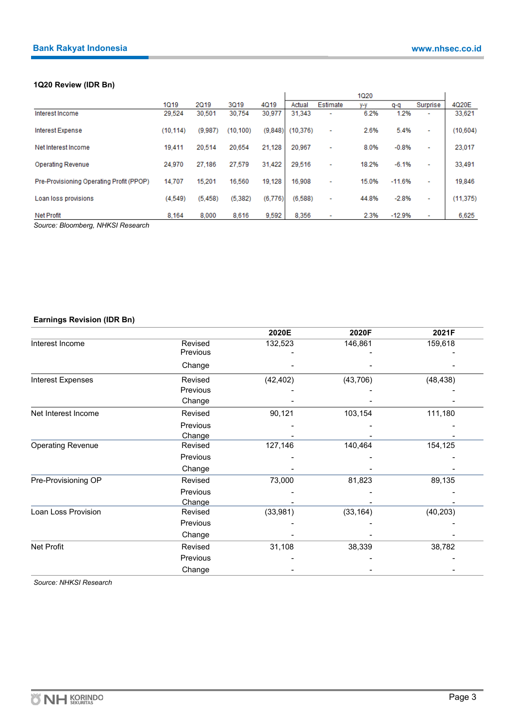## **1Q20 Review (IDR Bn)**

|                                          |           |          |           |         |           |                          | 1020  |          |                          |           |
|------------------------------------------|-----------|----------|-----------|---------|-----------|--------------------------|-------|----------|--------------------------|-----------|
|                                          | 1019      | 2019     | 3019      | 4019    | Actual    | Estimate                 | y-y   | q-q      | Surprise                 | 4020E     |
| Interest Income                          | 29.524    | 30.501   | 30.754    | 30,977  | 31.343    | $\overline{\phantom{0}}$ | 6.2%  | 1.2%     | $\overline{\phantom{a}}$ | 33,621    |
| Interest Expense                         | (10, 114) | (9,987)  | (10, 100) | (9,848) | (10, 376) | ۰                        | 2.6%  | 5.4%     | ۰                        | (10, 604) |
| Net Interest Income                      | 19,411    | 20,514   | 20,654    | 21,128  | 20,967    | ۰                        | 8.0%  | $-0.8%$  | ٠                        | 23,017    |
| <b>Operating Revenue</b>                 | 24,970    | 27,186   | 27.579    | 31.422  | 29.516    | ٠                        | 18.2% | $-6.1%$  | ۰                        | 33,491    |
| Pre-Provisioning Operating Profit (PPOP) | 14,707    | 15,201   | 16,560    | 19.128  | 16,908    | ۰                        | 15.0% | $-11.6%$ | ٠                        | 19,846    |
| Loan loss provisions                     | (4.549)   | (5, 458) | (5.382)   | (6,776) | (6.588)   | ٠                        | 44.8% | $-2.8%$  | ٠                        | (11, 375) |
| Net Profit                               | 8.164     | 8,000    | 8.616     | 9.592   | 8.356     |                          | 2.3%  | $-12.9%$ | $\overline{\phantom{0}}$ | 6,625     |

*Source: Bloomberg, NHKSI Research*

## **Earnings Revision (IDR Bn)**

|                          |          | 2020E     | 2020F     | 2021F     |
|--------------------------|----------|-----------|-----------|-----------|
| Interest Income          | Revised  | 132,523   | 146,861   | 159,618   |
|                          | Previous |           |           |           |
|                          | Change   |           |           |           |
| Interest Expenses        | Revised  | (42, 402) | (43, 706) | (48, 438) |
|                          | Previous |           |           |           |
|                          | Change   |           |           |           |
| Net Interest Income      | Revised  | 90,121    | 103,154   | 111,180   |
|                          | Previous |           |           |           |
|                          | Change   |           |           |           |
| <b>Operating Revenue</b> | Revised  | 127,146   | 140,464   | 154,125   |
|                          | Previous |           |           |           |
|                          | Change   |           |           |           |
| Pre-Provisioning OP      | Revised  | 73,000    | 81,823    | 89,135    |
|                          | Previous |           |           |           |
|                          | Change   |           |           |           |
| Loan Loss Provision      | Revised  | (33,981)  | (33, 164) | (40, 203) |
|                          | Previous |           |           |           |
|                          | Change   |           |           |           |
| Net Profit               | Revised  | 31,108    | 38,339    | 38,782    |
|                          | Previous |           |           |           |
|                          | Change   |           |           |           |

*Source: NHKSI Research*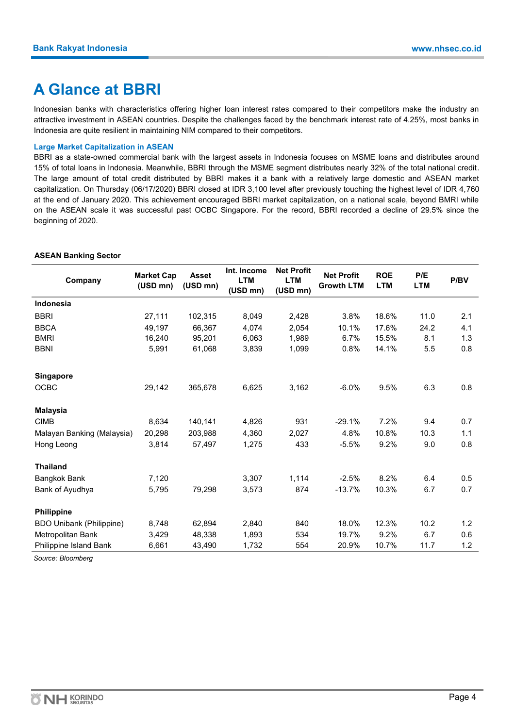## **A Glance at BBRI**

Indonesian banks with characteristics offering higher loan interest rates compared to their competitors make the industry an attractive investment in ASEAN countries. Despite the challenges faced by the benchmark interest rate of 4.25%, most banks in Indonesia are quite resilient in maintaining NIM compared to their competitors.

### **Large Market Capitalization in ASEAN**

BBRI as a state-owned commercial bank with the largest assets in Indonesia focuses on MSME loans and distributes around 15% of total loans in Indonesia. Meanwhile, BBRI through the MSME segment distributes nearly 32% of the total national credit. The large amount of total credit distributed by BBRI makes it a bank with a relatively large domestic and ASEAN market capitalization. On Thursday (06/17/2020) BBRI closed at IDR 3,100 level after previously touching the highest level of IDR 4,760 at the end of January 2020. This achievement encouraged BBRI market capitalization, on a national scale, beyond BMRI while on the ASEAN scale it was successful past OCBC Singapore. For the record, BBRI recorded a decline of 29.5% since the beginning of 2020.

### **ASEAN Banking Sector**

| Company                         | <b>Market Cap</b><br>(USD mn) | <b>Asset</b><br>(USD mn) | Int. Income<br><b>LTM</b><br>(USD mn) | <b>Net Profit</b><br><b>LTM</b><br>(USD mn) | <b>Net Profit</b><br><b>Growth LTM</b> | <b>ROE</b><br><b>LTM</b> | P/E<br><b>LTM</b> | P/BV |
|---------------------------------|-------------------------------|--------------------------|---------------------------------------|---------------------------------------------|----------------------------------------|--------------------------|-------------------|------|
| <b>Indonesia</b>                |                               |                          |                                       |                                             |                                        |                          |                   |      |
| <b>BBRI</b>                     | 27,111                        | 102,315                  | 8,049                                 | 2,428                                       | 3.8%                                   | 18.6%                    | 11.0              | 2.1  |
| <b>BBCA</b>                     | 49,197                        | 66,367                   | 4,074                                 | 2.054                                       | 10.1%                                  | 17.6%                    | 24.2              | 4.1  |
| <b>BMRI</b>                     | 16,240                        | 95,201                   | 6,063                                 | 1,989                                       | 6.7%                                   | 15.5%                    | 8.1               | 1.3  |
| <b>BBNI</b>                     | 5,991                         | 61,068                   | 3,839                                 | 1,099                                       | 0.8%                                   | 14.1%                    | 5.5               | 0.8  |
| <b>Singapore</b>                |                               |                          |                                       |                                             |                                        |                          |                   |      |
| <b>OCBC</b>                     | 29,142                        | 365,678                  | 6,625                                 | 3,162                                       | $-6.0%$                                | 9.5%                     | 6.3               | 0.8  |
| <b>Malaysia</b>                 |                               |                          |                                       |                                             |                                        |                          |                   |      |
| <b>CIMB</b>                     | 8,634                         | 140,141                  | 4,826                                 | 931                                         | $-29.1%$                               | 7.2%                     | 9.4               | 0.7  |
| Malayan Banking (Malaysia)      | 20,298                        | 203,988                  | 4,360                                 | 2,027                                       | 4.8%                                   | 10.8%                    | 10.3              | 1.1  |
| Hong Leong                      | 3,814                         | 57,497                   | 1,275                                 | 433                                         | $-5.5%$                                | 9.2%                     | 9.0               | 0.8  |
| <b>Thailand</b>                 |                               |                          |                                       |                                             |                                        |                          |                   |      |
| <b>Bangkok Bank</b>             | 7,120                         |                          | 3,307                                 | 1,114                                       | $-2.5%$                                | 8.2%                     | 6.4               | 0.5  |
| Bank of Ayudhya                 | 5,795                         | 79,298                   | 3,573                                 | 874                                         | $-13.7%$                               | 10.3%                    | 6.7               | 0.7  |
| <b>Philippine</b>               |                               |                          |                                       |                                             |                                        |                          |                   |      |
| <b>BDO Unibank (Philippine)</b> | 8,748                         | 62,894                   | 2,840                                 | 840                                         | 18.0%                                  | 12.3%                    | 10.2              | 1.2  |
| Metropolitan Bank               | 3,429                         | 48,338                   | 1,893                                 | 534                                         | 19.7%                                  | 9.2%                     | 6.7               | 0.6  |
| Philippine Island Bank          | 6,661                         | 43,490                   | 1,732                                 | 554                                         | 20.9%                                  | 10.7%                    | 11.7              | 1.2  |

*Source: Bloomberg*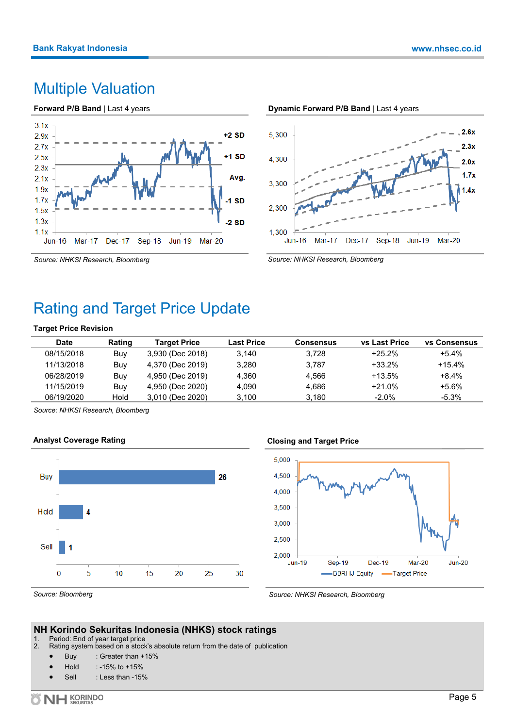## Multiple Valuation





*Source: NHKSI Research, Bloomberg*

# Rating and Target Price Update

### **Target Price Revision**

| <b>Date</b> | Rating | <b>Target Price</b> | Last Price | <b>Consensus</b> | <b>vs Last Price</b> | <b>vs Consensus</b> |
|-------------|--------|---------------------|------------|------------------|----------------------|---------------------|
| 08/15/2018  | Buy    | 3,930 (Dec 2018)    | 3.140      | 3.728            | $+25.2%$             | +5.4%               |
| 11/13/2018  | Buy    | 4,370 (Dec 2019)    | 3.280      | 3.787            | +33.2%               | $+15.4%$            |
| 06/28/2019  | Buy    | 4,950 (Dec 2019)    | 4.360      | 4.566            | $+13.5%$             | $+8.4%$             |
| 11/15/2019  | Buy    | 4,950 (Dec 2020)    | 4.090      | 4.686            | $+21.0%$             | $+5.6\%$            |
| 06/19/2020  | Hold   | 3,010 (Dec 2020)    | 3.100      | 3.180            | $-2.0\%$             | -5.3%               |

*Source: NHKSI Research, Bloomberg*





## **Closing and Target Price**



*Source: Bloomberg*

*Source: NHKSI Research, Bloomberg*

## **NH Korindo Sekuritas Indonesia (NHKS) stock ratings**

1. Period: End of year target price<br>2. Rating system based on a stock

- Rating system based on a stock's absolute return from the date of publication
	- Buy : Greater than +15%
	- Hold : -15% to +15%
	- Sell : Less than -15%